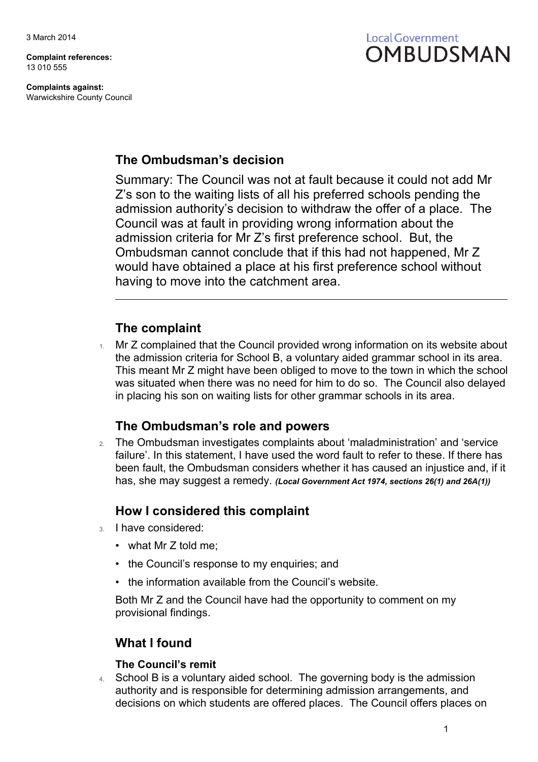**Complaint references:** 13 010 555

**Complaints against:** Warwickshire County Council



## **The Ombudsman's decision**

Summary: The Council was not at fault because it could not add Mr Z's son to the waiting lists of all his preferred schools pending the admission authority's decision to withdraw the offer of a place. The Council was at fault in providing wrong information about the admission criteria for Mr Z's first preference school. But, the Ombudsman cannot conclude that if this had not happened, Mr Z would have obtained a place at his first preference school without having to move into the catchment area.

## **The complaint**

Mr Z complained that the Council provided wrong information on its website about the admission criteria for School B, a voluntary aided grammar school in its area. This meant Mr Z might have been obliged to move to the town in which the school was situated when there was no need for him to do so. The Council also delayed in placing his son on waiting lists for other grammar schools in its area.

## **The Ombudsman's role and powers**

2. The Ombudsman investigates complaints about 'maladministration' and 'service failure'. In this statement, I have used the word fault to refer to these. If there has been fault, the Ombudsman considers whether it has caused an injustice and, if it has, she may suggest a remedy. *(Local Government Act 1974, sections 26(1) and 26A(1))*

## **How I considered this complaint**

- 3. I have considered:
	- what Mr Z told me;
	- the Council's response to my enquiries; and
	- the information available from the Council's website.

Both Mr Z and the Council have had the opportunity to comment on my provisional findings.

## **What I found**

### **The Council's remit**

4. School B is a voluntary aided school. The governing body is the admission authority and is responsible for determining admission arrangements, and decisions on which students are offered places. The Council offers places on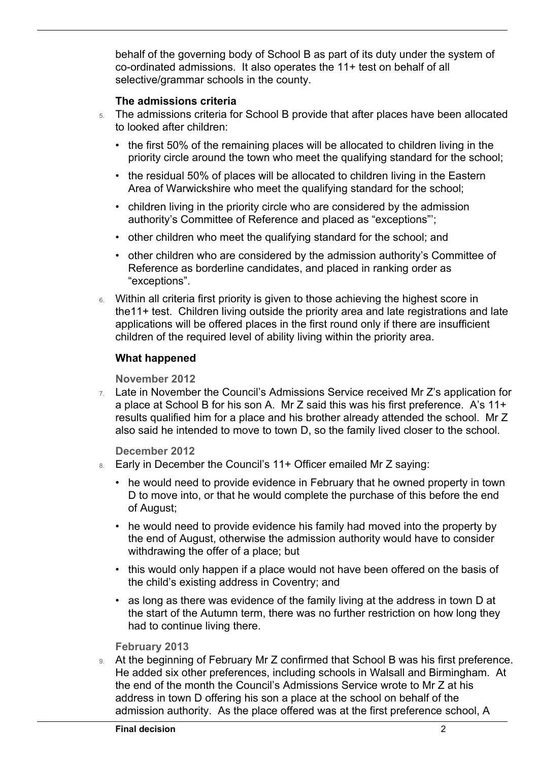behalf of the governing body of School B as part of its duty under the system of co-ordinated admissions. It also operates the 11+ test on behalf of all selective/grammar schools in the county.

### **The admissions criteria**

 $\overline{a}$ 

- 5. The admissions criteria for School B provide that after places have been allocated to looked after children:
	- the first 50% of the remaining places will be allocated to children living in the priority circle around the town who meet the qualifying standard for the school;
	- the residual 50% of places will be allocated to children living in the Eastern Area of Warwickshire who meet the qualifying standard for the school;
	- children living in the priority circle who are considered by the admission authority's Committee of Reference and placed as "exceptions"';
	- other children who meet the qualifying standard for the school; and
	- other children who are considered by the admission authority's Committee of Reference as borderline candidates, and placed in ranking order as "exceptions".
- 6. Within all criteria first priority is given to those achieving the highest score in the11+ test. Children living outside the priority area and late registrations and late applications will be offered places in the first round only if there are insufficient children of the required level of ability living within the priority area.

### **What happened**

**November 2012**

7. Late in November the Council's Admissions Service received Mr Z's application for a place at School B for his son A. Mr Z said this was his first preference. A's 11+ results qualified him for a place and his brother already attended the school. Mr Z also said he intended to move to town D, so the family lived closer to the school.

**December 2012**

- 8. Early in December the Council's 11+ Officer emailed Mr Z saying:
	- he would need to provide evidence in February that he owned property in town D to move into, or that he would complete the purchase of this before the end of August;
	- he would need to provide evidence his family had moved into the property by the end of August, otherwise the admission authority would have to consider withdrawing the offer of a place; but
	- this would only happen if a place would not have been offered on the basis of the child's existing address in Coventry; and
	- as long as there was evidence of the family living at the address in town D at the start of the Autumn term, there was no further restriction on how long they had to continue living there.

#### **February 2013**

9. At the beginning of February Mr Z confirmed that School B was his first preference. He added six other preferences, including schools in Walsall and Birmingham. At the end of the month the Council's Admissions Service wrote to Mr Z at his address in town D offering his son a place at the school on behalf of the admission authority. As the place offered was at the first preference school, A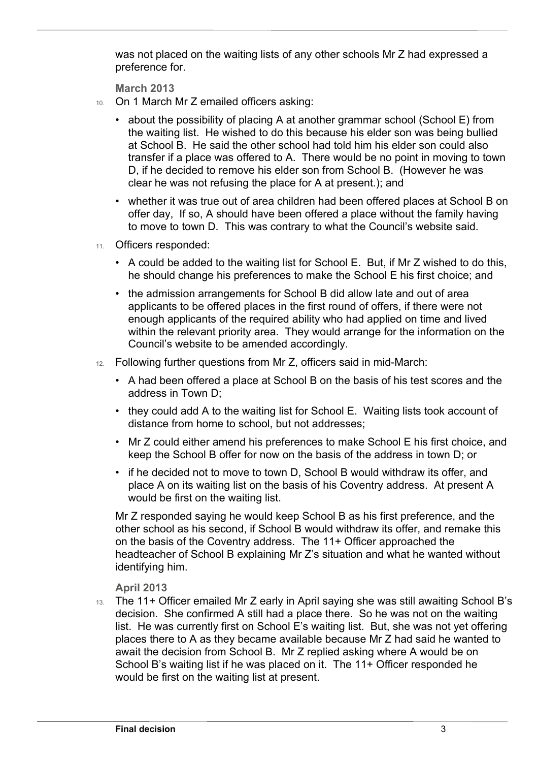was not placed on the waiting lists of any other schools Mr Z had expressed a preference for.

**March 2013**

 $\overline{a}$ 

- 10. On 1 March Mr Z emailed officers asking:
	- about the possibility of placing A at another grammar school (School E) from the waiting list. He wished to do this because his elder son was being bullied at School B. He said the other school had told him his elder son could also transfer if a place was offered to A. There would be no point in moving to town D, if he decided to remove his elder son from School B. (However he was clear he was not refusing the place for A at present.); and
	- whether it was true out of area children had been offered places at School B on offer day, If so, A should have been offered a place without the family having to move to town D. This was contrary to what the Council's website said.
- 11. Officers responded:
	- A could be added to the waiting list for School E. But, if Mr Z wished to do this, he should change his preferences to make the School E his first choice; and
	- the admission arrangements for School B did allow late and out of area applicants to be offered places in the first round of offers, if there were not enough applicants of the required ability who had applied on time and lived within the relevant priority area. They would arrange for the information on the Council's website to be amended accordingly.
- 12. Following further questions from Mr Z, officers said in mid-March:
	- A had been offered a place at School B on the basis of his test scores and the address in Town D;
	- they could add A to the waiting list for School E. Waiting lists took account of distance from home to school, but not addresses;
	- Mr Z could either amend his preferences to make School E his first choice, and keep the School B offer for now on the basis of the address in town D; or
	- if he decided not to move to town D, School B would withdraw its offer, and place A on its waiting list on the basis of his Coventry address. At present A would be first on the waiting list.

Mr Z responded saying he would keep School B as his first preference, and the other school as his second, if School B would withdraw its offer, and remake this on the basis of the Coventry address. The 11+ Officer approached the headteacher of School B explaining Mr Z's situation and what he wanted without identifying him.

### **April 2013**

13. The 11+ Officer emailed Mr Z early in April saying she was still awaiting School B's decision. She confirmed A still had a place there. So he was not on the waiting list. He was currently first on School E's waiting list. But, she was not yet offering places there to A as they became available because Mr Z had said he wanted to await the decision from School B. Mr Z replied asking where A would be on School B's waiting list if he was placed on it. The 11+ Officer responded he would be first on the waiting list at present.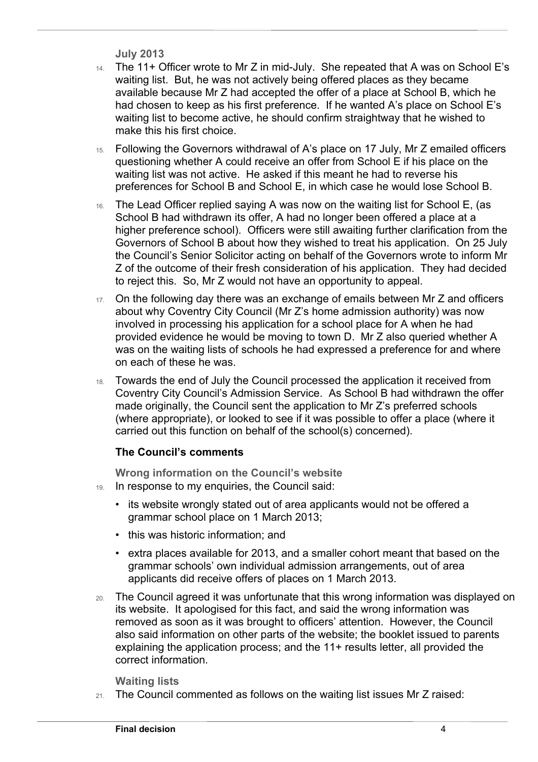```
July 2013
```
 $\overline{a}$ 

- 14. The 11+ Officer wrote to Mr Z in mid-July. She repeated that A was on School E's waiting list. But, he was not actively being offered places as they became available because Mr Z had accepted the offer of a place at School B, which he had chosen to keep as his first preference. If he wanted A's place on School E's waiting list to become active, he should confirm straightway that he wished to make this his first choice.
- 15. Following the Governors withdrawal of A's place on 17 July, Mr Z emailed officers questioning whether A could receive an offer from School E if his place on the waiting list was not active. He asked if this meant he had to reverse his preferences for School B and School E, in which case he would lose School B.
- 16. The Lead Officer replied saying A was now on the waiting list for School E, (as School B had withdrawn its offer, A had no longer been offered a place at a higher preference school). Officers were still awaiting further clarification from the Governors of School B about how they wished to treat his application. On 25 July the Council's Senior Solicitor acting on behalf of the Governors wrote to inform Mr Z of the outcome of their fresh consideration of his application. They had decided to reject this. So, Mr Z would not have an opportunity to appeal.
- 17. On the following day there was an exchange of emails between Mr Z and officers about why Coventry City Council (Mr Z's home admission authority) was now involved in processing his application for a school place for A when he had provided evidence he would be moving to town D. Mr Z also queried whether A was on the waiting lists of schools he had expressed a preference for and where on each of these he was.
- 18. Towards the end of July the Council processed the application it received from Coventry City Council's Admission Service. As School B had withdrawn the offer made originally, the Council sent the application to Mr Z's preferred schools (where appropriate), or looked to see if it was possible to offer a place (where it carried out this function on behalf of the school(s) concerned).

## **The Council's comments**

**Wrong information on the Council's website**

- 19. In response to my enquiries, the Council said:
	- its website wrongly stated out of area applicants would not be offered a grammar school place on 1 March 2013;
	- this was historic information; and
	- extra places available for 2013, and a smaller cohort meant that based on the grammar schools' own individual admission arrangements, out of area applicants did receive offers of places on 1 March 2013.
- 20. The Council agreed it was unfortunate that this wrong information was displayed on its website. It apologised for this fact, and said the wrong information was removed as soon as it was brought to officers' attention. However, the Council also said information on other parts of the website; the booklet issued to parents explaining the application process; and the 11+ results letter, all provided the correct information.

### **Waiting lists**

21. The Council commented as follows on the waiting list issues Mr Z raised: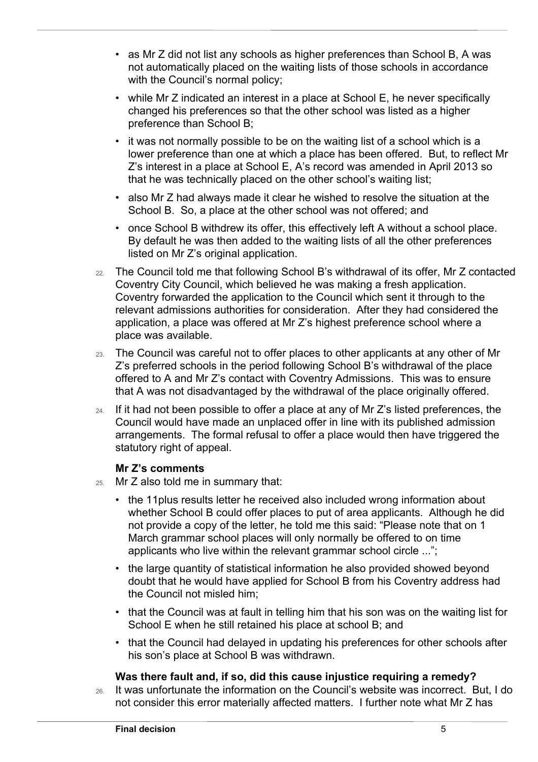- as Mr Z did not list any schools as higher preferences than School B, A was not automatically placed on the waiting lists of those schools in accordance with the Council's normal policy;
- while Mr Z indicated an interest in a place at School E, he never specifically changed his preferences so that the other school was listed as a higher preference than School B;
- it was not normally possible to be on the waiting list of a school which is a lower preference than one at which a place has been offered. But, to reflect Mr Z's interest in a place at School E, A's record was amended in April 2013 so that he was technically placed on the other school's waiting list;
- also Mr Z had always made it clear he wished to resolve the situation at the School B. So, a place at the other school was not offered; and
- once School B withdrew its offer, this effectively left A without a school place. By default he was then added to the waiting lists of all the other preferences listed on Mr Z's original application.
- 22. The Council told me that following School B's withdrawal of its offer, Mr Z contacted Coventry City Council, which believed he was making a fresh application. Coventry forwarded the application to the Council which sent it through to the relevant admissions authorities for consideration. After they had considered the application, a place was offered at Mr Z's highest preference school where a place was available.
- 23. The Council was careful not to offer places to other applicants at any other of Mr Z's preferred schools in the period following School B's withdrawal of the place offered to A and Mr Z's contact with Coventry Admissions. This was to ensure that A was not disadvantaged by the withdrawal of the place originally offered.
- 24. If it had not been possible to offer a place at any of Mr Z's listed preferences, the Council would have made an unplaced offer in line with its published admission arrangements. The formal refusal to offer a place would then have triggered the statutory right of appeal.

### **Mr Z's comments**

 $\overline{a}$ 

- 25. Mr Z also told me in summary that:
	- the 11plus results letter he received also included wrong information about whether School B could offer places to put of area applicants. Although he did not provide a copy of the letter, he told me this said: "Please note that on 1 March grammar school places will only normally be offered to on time applicants who live within the relevant grammar school circle ...";
	- the large quantity of statistical information he also provided showed beyond doubt that he would have applied for School B from his Coventry address had the Council not misled him;
	- that the Council was at fault in telling him that his son was on the waiting list for School E when he still retained his place at school B; and
	- that the Council had delayed in updating his preferences for other schools after his son's place at School B was withdrawn.

### **Was there fault and, if so, did this cause injustice requiring a remedy?**

26. It was unfortunate the information on the Council's website was incorrect. But, I do not consider this error materially affected matters. I further note what Mr Z has